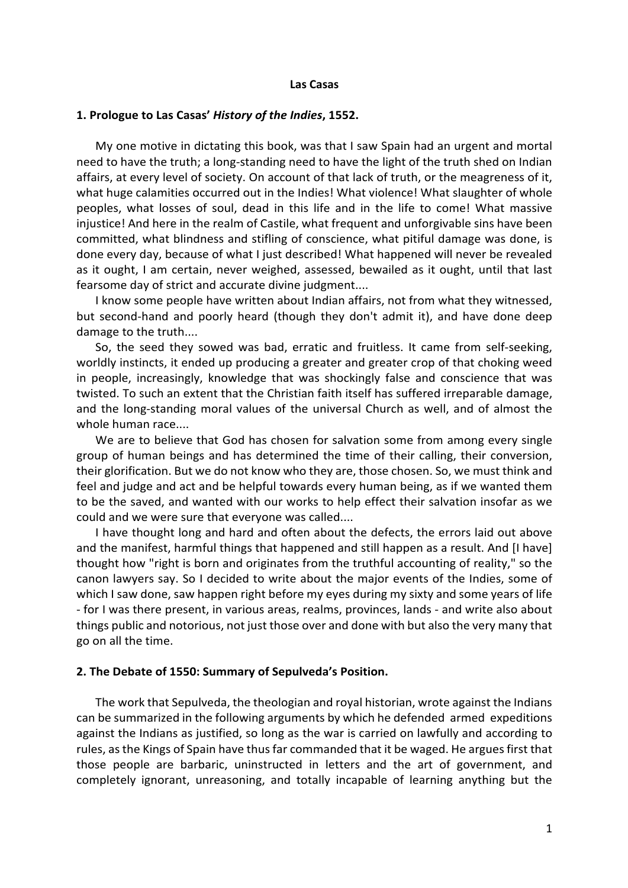#### **Las Casas**

### **1. Prologue to Las Casas'** *History of the Indies***, 1552.**

My one motive in dictating this book, was that I saw Spain had an urgent and mortal need to have the truth; a long-standing need to have the light of the truth shed on Indian affairs, at every level of society. On account of that lack of truth, or the meagreness of it, what huge calamities occurred out in the Indies! What violence! What slaughter of whole peoples, what losses of soul, dead in this life and in the life to come! What massive injustice! And here in the realm of Castile, what frequent and unforgivable sins have been committed, what blindness and stifling of conscience, what pitiful damage was done, is done every day, because of what I just described! What happened will never be revealed as it ought, I am certain, never weighed, assessed, bewailed as it ought, until that last fearsome day of strict and accurate divine judgment....

I know some people have written about Indian affairs, not from what they witnessed, but second-hand and poorly heard (though they don't admit it), and have done deep damage to the truth....

So, the seed they sowed was bad, erratic and fruitless. It came from self-seeking, worldly instincts, it ended up producing a greater and greater crop of that choking weed in people, increasingly, knowledge that was shockingly false and conscience that was twisted. To such an extent that the Christian faith itself has suffered irreparable damage, and the long-standing moral values of the universal Church as well, and of almost the whole human race....

We are to believe that God has chosen for salvation some from among every single group of human beings and has determined the time of their calling, their conversion, their glorification. But we do not know who they are, those chosen. So, we must think and feel and judge and act and be helpful towards every human being, as if we wanted them to be the saved, and wanted with our works to help effect their salvation insofar as we could and we were sure that everyone was called....

I have thought long and hard and often about the defects, the errors laid out above and the manifest, harmful things that happened and still happen as a result. And [I have] thought how "right is born and originates from the truthful accounting of reality," so the canon lawyers say. So I decided to write about the major events of the Indies, some of which I saw done, saw happen right before my eyes during my sixty and some years of life - for I was there present, in various areas, realms, provinces, lands - and write also about things public and notorious, not just those over and done with but also the very many that go on all the time.

#### **2. The Debate of 1550: Summary of Sepulveda's Position.**

The work that Sepulveda, the theologian and royal historian, wrote against the Indians can be summarized in the following arguments by which he defended armed expeditions against the Indians as justified, so long as the war is carried on lawfully and according to rules, as the Kings of Spain have thus far commanded that it be waged. He argues first that those people are barbaric, uninstructed in letters and the art of government, and completely ignorant, unreasoning, and totally incapable of learning anything but the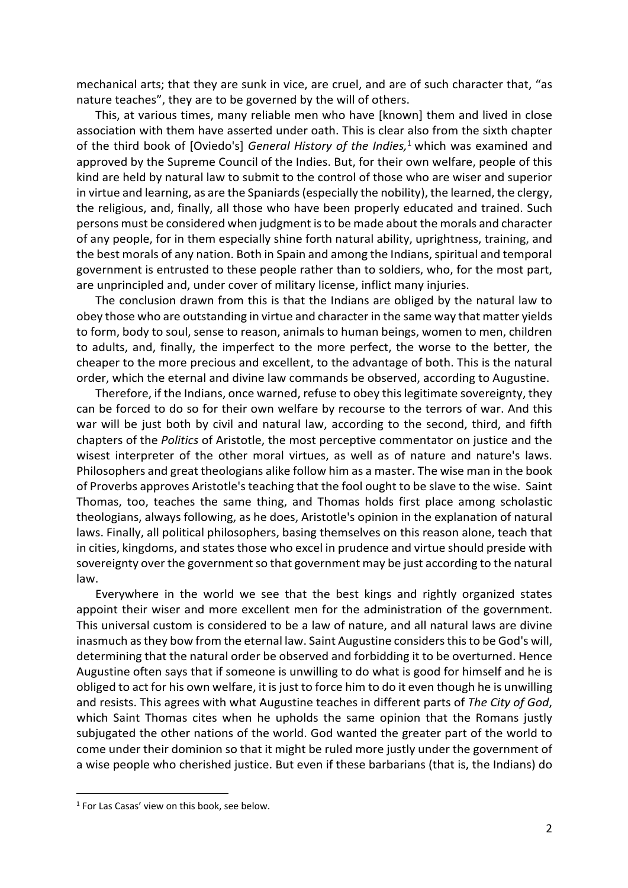mechanical arts; that they are sunk in vice, are cruel, and are of such character that, "as nature teaches", they are to be governed by the will of others.

This, at various times, many reliable men who have [known] them and lived in close association with them have asserted under oath. This is clear also from the sixth chapter of the third book of [Oviedo's] *General History of the Indies,* <sup>1</sup> which was examined and approved by the Supreme Council of the Indies. But, for their own welfare, people of this kind are held by natural law to submit to the control of those who are wiser and superior in virtue and learning, as are the Spaniards (especially the nobility), the learned, the clergy, the religious, and, finally, all those who have been properly educated and trained. Such persons must be considered when judgment is to be made about the morals and character of any people, for in them especially shine forth natural ability, uprightness, training, and the best morals of any nation. Both in Spain and among the Indians, spiritual and temporal government is entrusted to these people rather than to soldiers, who, for the most part, are unprincipled and, under cover of military license, inflict many injuries.

The conclusion drawn from this is that the Indians are obliged by the natural law to obey those who are outstanding in virtue and character in the same way that matter yields to form, body to soul, sense to reason, animals to human beings, women to men, children to adults, and, finally, the imperfect to the more perfect, the worse to the better, the cheaper to the more precious and excellent, to the advantage of both. This is the natural order, which the eternal and divine law commands be observed, according to Augustine.

Therefore, if the Indians, once warned, refuse to obey this legitimate sovereignty, they can be forced to do so for their own welfare by recourse to the terrors of war. And this war will be just both by civil and natural law, according to the second, third, and fifth chapters of the *Politics* of Aristotle, the most perceptive commentator on justice and the wisest interpreter of the other moral virtues, as well as of nature and nature's laws. Philosophers and great theologians alike follow him as a master. The wise man in the book of Proverbs approves Aristotle's teaching that the fool ought to be slave to the wise. Saint Thomas, too, teaches the same thing, and Thomas holds first place among scholastic theologians, always following, as he does, Aristotle's opinion in the explanation of natural laws. Finally, all political philosophers, basing themselves on this reason alone, teach that in cities, kingdoms, and states those who excel in prudence and virtue should preside with sovereignty over the government so that government may be just according to the natural law.

Everywhere in the world we see that the best kings and rightly organized states appoint their wiser and more excellent men for the administration of the government. This universal custom is considered to be a law of nature, and all natural laws are divine inasmuch as they bow from the eternal law. Saint Augustine considers this to be God's will, determining that the natural order be observed and forbidding it to be overturned. Hence Augustine often says that if someone is unwilling to do what is good for himself and he is obliged to act for his own welfare, it is just to force him to do it even though he is unwilling and resists. This agrees with what Augustine teaches in different parts of *The City of God*, which Saint Thomas cites when he upholds the same opinion that the Romans justly subjugated the other nations of the world. God wanted the greater part of the world to come under their dominion so that it might be ruled more justly under the government of a wise people who cherished justice. But even if these barbarians (that is, the Indians) do

<sup>&</sup>lt;sup>1</sup> For Las Casas' view on this book, see below.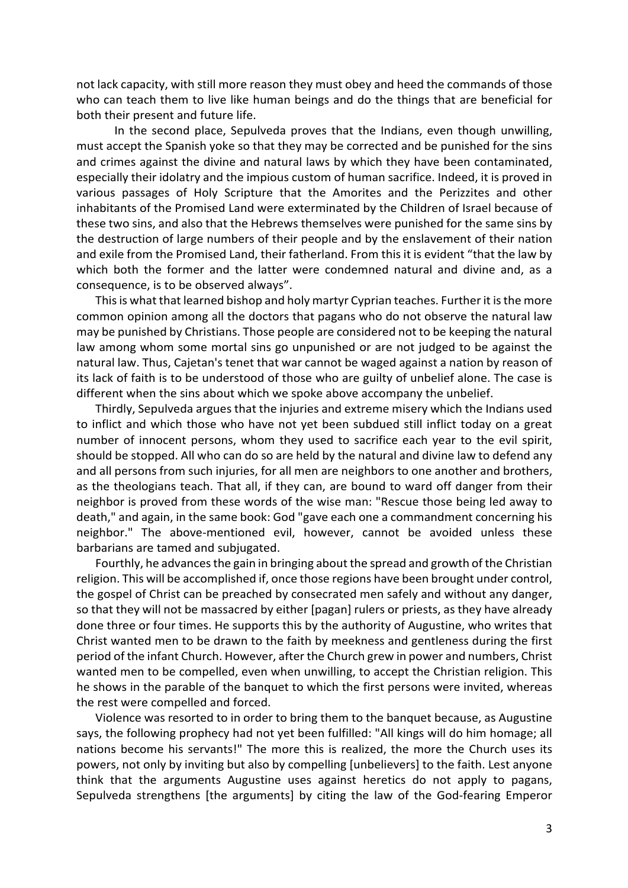not lack capacity, with still more reason they must obey and heed the commands of those who can teach them to live like human beings and do the things that are beneficial for both their present and future life.

In the second place, Sepulveda proves that the Indians, even though unwilling, must accept the Spanish yoke so that they may be corrected and be punished for the sins and crimes against the divine and natural laws by which they have been contaminated, especially their idolatry and the impious custom of human sacrifice. Indeed, it is proved in various passages of Holy Scripture that the Amorites and the Perizzites and other inhabitants of the Promised Land were exterminated by the Children of Israel because of these two sins, and also that the Hebrews themselves were punished for the same sins by the destruction of large numbers of their people and by the enslavement of their nation and exile from the Promised Land, their fatherland. From this it is evident "that the law by which both the former and the latter were condemned natural and divine and, as a consequence, is to be observed always".

This is what that learned bishop and holy martyr Cyprian teaches. Further it is the more common opinion among all the doctors that pagans who do not observe the natural law may be punished by Christians. Those people are considered not to be keeping the natural law among whom some mortal sins go unpunished or are not judged to be against the natural law. Thus, Cajetan's tenet that war cannot be waged against a nation by reason of its lack of faith is to be understood of those who are guilty of unbelief alone. The case is different when the sins about which we spoke above accompany the unbelief.

Thirdly, Sepulveda argues that the injuries and extreme misery which the Indians used to inflict and which those who have not yet been subdued still inflict today on a great number of innocent persons, whom they used to sacrifice each year to the evil spirit, should be stopped. All who can do so are held by the natural and divine law to defend any and all persons from such injuries, for all men are neighbors to one another and brothers, as the theologians teach. That all, if they can, are bound to ward off danger from their neighbor is proved from these words of the wise man: "Rescue those being led away to death," and again, in the same book: God "gave each one a commandment concerning his neighbor." The above-mentioned evil, however, cannot be avoided unless these barbarians are tamed and subjugated.

Fourthly, he advances the gain in bringing about the spread and growth of the Christian religion. This will be accomplished if, once those regions have been brought under control, the gospel of Christ can be preached by consecrated men safely and without any danger, so that they will not be massacred by either [pagan] rulers or priests, as they have already done three or four times. He supports this by the authority of Augustine, who writes that Christ wanted men to be drawn to the faith by meekness and gentleness during the first period of the infant Church. However, after the Church grew in power and numbers, Christ wanted men to be compelled, even when unwilling, to accept the Christian religion. This he shows in the parable of the banquet to which the first persons were invited, whereas the rest were compelled and forced.

Violence was resorted to in order to bring them to the banquet because, as Augustine says, the following prophecy had not yet been fulfilled: "All kings will do him homage; all nations become his servants!" The more this is realized, the more the Church uses its powers, not only by inviting but also by compelling [unbelievers] to the faith. Lest anyone think that the arguments Augustine uses against heretics do not apply to pagans, Sepulveda strengthens [the arguments] by citing the law of the God-fearing Emperor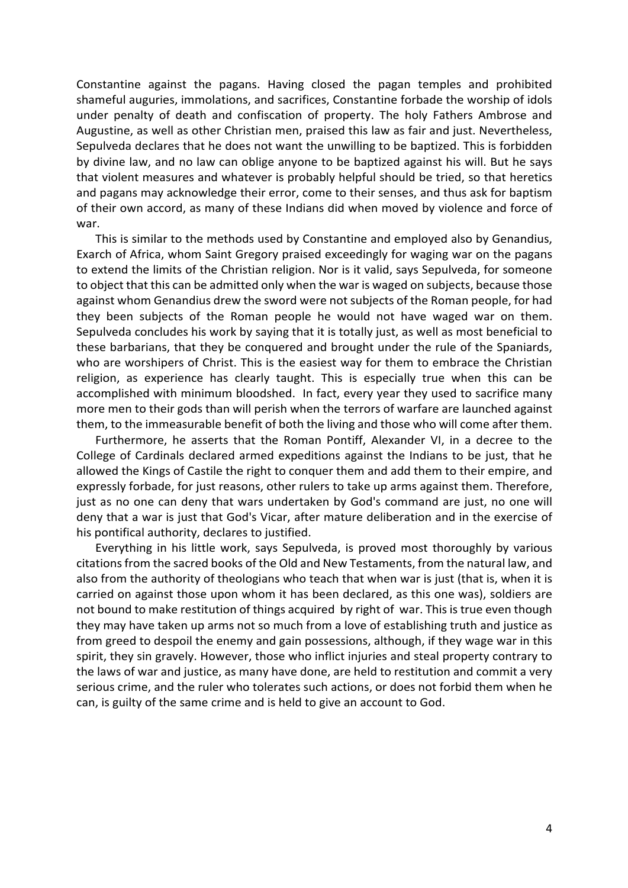Constantine against the pagans. Having closed the pagan temples and prohibited shameful auguries, immolations, and sacrifices, Constantine forbade the worship of idols under penalty of death and confiscation of property. The holy Fathers Ambrose and Augustine, as well as other Christian men, praised this law as fair and just. Nevertheless, Sepulveda declares that he does not want the unwilling to be baptized. This is forbidden by divine law, and no law can oblige anyone to be baptized against his will. But he says that violent measures and whatever is probably helpful should be tried, so that heretics and pagans may acknowledge their error, come to their senses, and thus ask for baptism of their own accord, as many of these Indians did when moved by violence and force of war.

This is similar to the methods used by Constantine and employed also by Genandius, Exarch of Africa, whom Saint Gregory praised exceedingly for waging war on the pagans to extend the limits of the Christian religion. Nor is it valid, says Sepulveda, for someone to object that this can be admitted only when the war is waged on subjects, because those against whom Genandius drew the sword were not subjects of the Roman people, for had they been subjects of the Roman people he would not have waged war on them. Sepulveda concludes his work by saying that it is totally just, as well as most beneficial to these barbarians, that they be conquered and brought under the rule of the Spaniards, who are worshipers of Christ. This is the easiest way for them to embrace the Christian religion, as experience has clearly taught. This is especially true when this can be accomplished with minimum bloodshed. In fact, every year they used to sacrifice many more men to their gods than will perish when the terrors of warfare are launched against them, to the immeasurable benefit of both the living and those who will come after them.

Furthermore, he asserts that the Roman Pontiff, Alexander VI, in a decree to the College of Cardinals declared armed expeditions against the Indians to be just, that he allowed the Kings of Castile the right to conquer them and add them to their empire, and expressly forbade, for just reasons, other rulers to take up arms against them. Therefore, just as no one can deny that wars undertaken by God's command are just, no one will deny that a war is just that God's Vicar, after mature deliberation and in the exercise of his pontifical authority, declares to justified.

Everything in his little work, says Sepulveda, is proved most thoroughly by various citations from the sacred books of the Old and New Testaments, from the natural law, and also from the authority of theologians who teach that when war is just (that is, when it is carried on against those upon whom it has been declared, as this one was), soldiers are not bound to make restitution of things acquired by right of war. This is true even though they may have taken up arms not so much from a love of establishing truth and justice as from greed to despoil the enemy and gain possessions, although, if they wage war in this spirit, they sin gravely. However, those who inflict injuries and steal property contrary to the laws of war and justice, as many have done, are held to restitution and commit a very serious crime, and the ruler who tolerates such actions, or does not forbid them when he can, is guilty of the same crime and is held to give an account to God.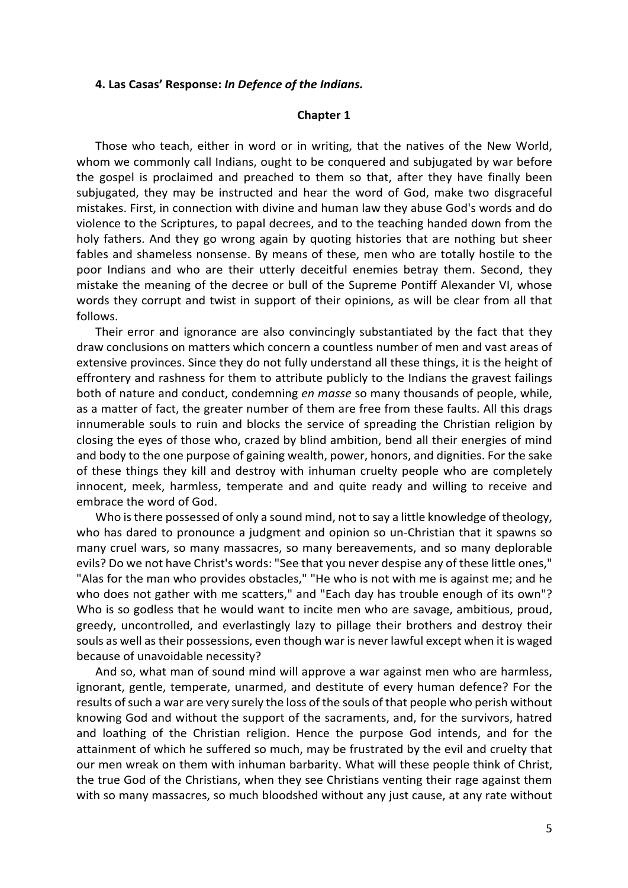### **4. Las Casas' Response:** *In Defence of the Indians.*

### **Chapter 1**

Those who teach, either in word or in writing, that the natives of the New World, whom we commonly call Indians, ought to be conquered and subjugated by war before the gospel is proclaimed and preached to them so that, after they have finally been subjugated, they may be instructed and hear the word of God, make two disgraceful mistakes. First, in connection with divine and human law they abuse God's words and do violence to the Scriptures, to papal decrees, and to the teaching handed down from the holy fathers. And they go wrong again by quoting histories that are nothing but sheer fables and shameless nonsense. By means of these, men who are totally hostile to the poor Indians and who are their utterly deceitful enemies betray them. Second, they mistake the meaning of the decree or bull of the Supreme Pontiff Alexander VI, whose words they corrupt and twist in support of their opinions, as will be clear from all that follows.

Their error and ignorance are also convincingly substantiated by the fact that they draw conclusions on matters which concern a countless number of men and vast areas of extensive provinces. Since they do not fully understand all these things, it is the height of effrontery and rashness for them to attribute publicly to the Indians the gravest failings both of nature and conduct, condemning *en masse* so many thousands of people, while, as a matter of fact, the greater number of them are free from these faults. All this drags innumerable souls to ruin and blocks the service of spreading the Christian religion by closing the eyes of those who, crazed by blind ambition, bend all their energies of mind and body to the one purpose of gaining wealth, power, honors, and dignities. For the sake of these things they kill and destroy with inhuman cruelty people who are completely innocent, meek, harmless, temperate and and quite ready and willing to receive and embrace the word of God.

Who is there possessed of only a sound mind, not to say a little knowledge of theology, who has dared to pronounce a judgment and opinion so un-Christian that it spawns so many cruel wars, so many massacres, so many bereavements, and so many deplorable evils? Do we not have Christ's words: "See that you never despise any of these little ones," "Alas for the man who provides obstacles," "He who is not with me is against me; and he who does not gather with me scatters," and "Each day has trouble enough of its own"? Who is so godless that he would want to incite men who are savage, ambitious, proud, greedy, uncontrolled, and everlastingly lazy to pillage their brothers and destroy their souls as well as their possessions, even though war is never lawful except when it is waged because of unavoidable necessity?

And so, what man of sound mind will approve a war against men who are harmless, ignorant, gentle, temperate, unarmed, and destitute of every human defence? For the results of such a war are very surely the loss of the souls of that people who perish without knowing God and without the support of the sacraments, and, for the survivors, hatred and loathing of the Christian religion. Hence the purpose God intends, and for the attainment of which he suffered so much, may be frustrated by the evil and cruelty that our men wreak on them with inhuman barbarity. What will these people think of Christ, the true God of the Christians, when they see Christians venting their rage against them with so many massacres, so much bloodshed without any just cause, at any rate without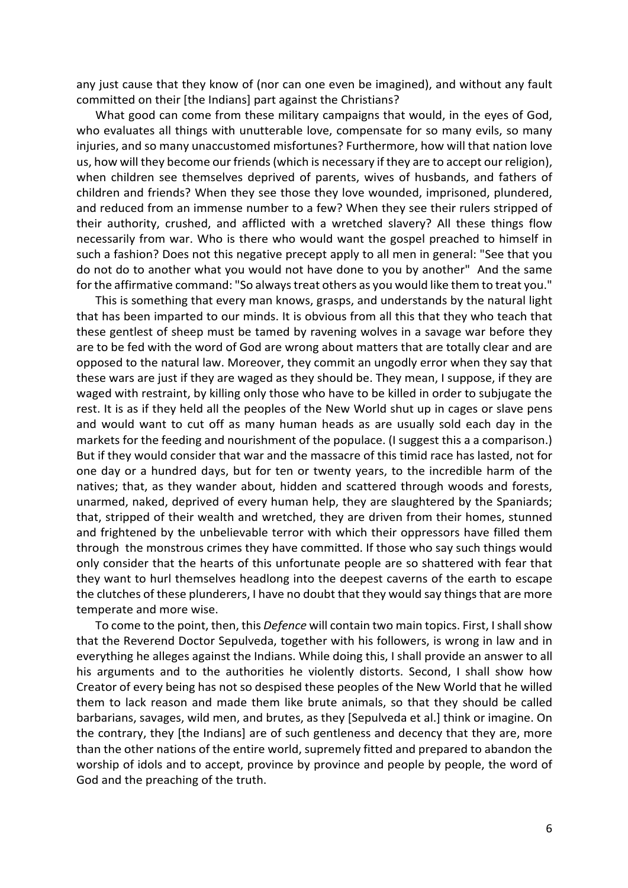any just cause that they know of (nor can one even be imagined), and without any fault committed on their [the Indians] part against the Christians?

What good can come from these military campaigns that would, in the eyes of God, who evaluates all things with unutterable love, compensate for so many evils, so many injuries, and so many unaccustomed misfortunes? Furthermore, how will that nation love us, how will they become our friends (which is necessary if they are to accept our religion), when children see themselves deprived of parents, wives of husbands, and fathers of children and friends? When they see those they love wounded, imprisoned, plundered, and reduced from an immense number to a few? When they see their rulers stripped of their authority, crushed, and afflicted with a wretched slavery? All these things flow necessarily from war. Who is there who would want the gospel preached to himself in such a fashion? Does not this negative precept apply to all men in general: "See that you do not do to another what you would not have done to you by another" And the same for the affirmative command: "So always treat others as you would like them to treat you."

This is something that every man knows, grasps, and understands by the natural light that has been imparted to our minds. It is obvious from all this that they who teach that these gentlest of sheep must be tamed by ravening wolves in a savage war before they are to be fed with the word of God are wrong about matters that are totally clear and are opposed to the natural law. Moreover, they commit an ungodly error when they say that these wars are just if they are waged as they should be. They mean, I suppose, if they are waged with restraint, by killing only those who have to be killed in order to subjugate the rest. It is as if they held all the peoples of the New World shut up in cages or slave pens and would want to cut off as many human heads as are usually sold each day in the markets for the feeding and nourishment of the populace. (I suggest this a a comparison.) But if they would consider that war and the massacre of this timid race has lasted, not for one day or a hundred days, but for ten or twenty years, to the incredible harm of the natives; that, as they wander about, hidden and scattered through woods and forests, unarmed, naked, deprived of every human help, they are slaughtered by the Spaniards; that, stripped of their wealth and wretched, they are driven from their homes, stunned and frightened by the unbelievable terror with which their oppressors have filled them through the monstrous crimes they have committed. If those who say such things would only consider that the hearts of this unfortunate people are so shattered with fear that they want to hurl themselves headlong into the deepest caverns of the earth to escape the clutches of these plunderers, I have no doubt that they would say things that are more temperate and more wise.

To come to the point, then, this *Defence* will contain two main topics. First, I shall show that the Reverend Doctor Sepulveda, together with his followers, is wrong in law and in everything he alleges against the Indians. While doing this, I shall provide an answer to all his arguments and to the authorities he violently distorts. Second, I shall show how Creator of every being has not so despised these peoples of the New World that he willed them to lack reason and made them like brute animals, so that they should be called barbarians, savages, wild men, and brutes, as they [Sepulveda et al.] think or imagine. On the contrary, they [the Indians] are of such gentleness and decency that they are, more than the other nations of the entire world, supremely fitted and prepared to abandon the worship of idols and to accept, province by province and people by people, the word of God and the preaching of the truth.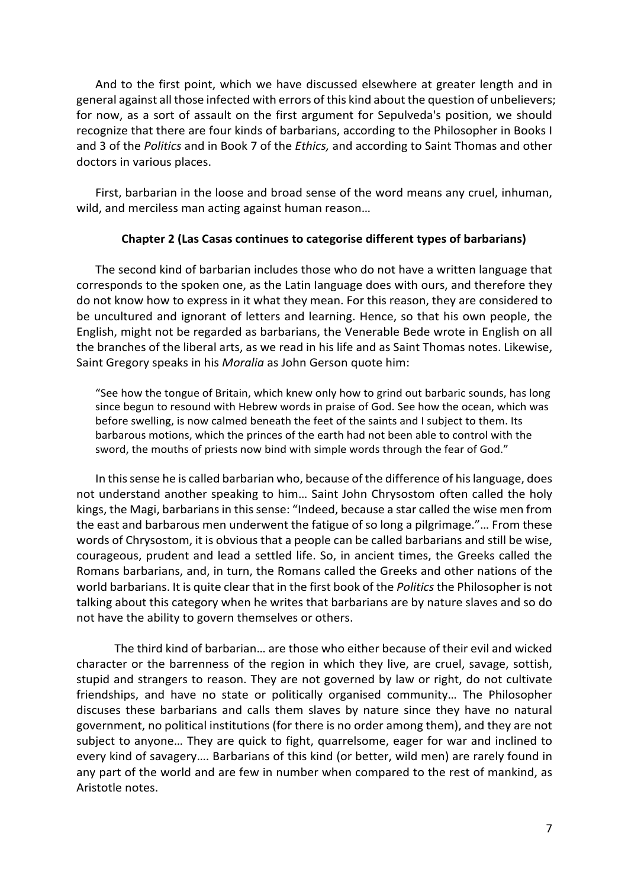And to the first point, which we have discussed elsewhere at greater length and in general against all those infected with errors of this kind about the question of unbelievers; for now, as a sort of assault on the first argument for Sepulveda's position, we should recognize that there are four kinds of barbarians, according to the Philosopher in Books I and 3 of the *Politics* and in Book 7 of the *Ethics,* and according to Saint Thomas and other doctors in various places.

First, barbarian in the loose and broad sense of the word means any cruel, inhuman, wild, and merciless man acting against human reason…

# **Chapter 2 (Las Casas continues to categorise different types of barbarians)**

The second kind of barbarian includes those who do not have a written language that corresponds to the spoken one, as the Latin Ianguage does with ours, and therefore they do not know how to express in it what they mean. For this reason, they are considered to be uncultured and ignorant of letters and learning. Hence, so that his own people, the English, might not be regarded as barbarians, the Venerable Bede wrote in English on all the branches of the liberal arts, as we read in his life and as Saint Thomas notes. Likewise, Saint Gregory speaks in his *Moralia* as John Gerson quote him:

"See how the tongue of Britain, which knew only how to grind out barbaric sounds, has long since begun to resound with Hebrew words in praise of God. See how the ocean, which was before swelling, is now calmed beneath the feet of the saints and I subject to them. Its barbarous motions, which the princes of the earth had not been able to control with the sword, the mouths of priests now bind with simple words through the fear of God."

In this sense he is called barbarian who, because of the difference of his language, does not understand another speaking to him… Saint John Chrysostom often called the holy kings, the Magi, barbarians in this sense: "Indeed, because a star called the wise men from the east and barbarous men underwent the fatigue of so long a pilgrimage."… From these words of Chrysostom, it is obvious that a people can be called barbarians and still be wise, courageous, prudent and lead a settled life. So, in ancient times, the Greeks called the Romans barbarians, and, in turn, the Romans called the Greeks and other nations of the world barbarians. It is quite clear that in the first book of the *Politics*the Philosopher is not talking about this category when he writes that barbarians are by nature slaves and so do not have the ability to govern themselves or others.

The third kind of barbarian… are those who either because of their evil and wicked character or the barrenness of the region in which they live, are cruel, savage, sottish, stupid and strangers to reason. They are not governed by law or right, do not cultivate friendships, and have no state or politically organised community… The Philosopher discuses these barbarians and calls them slaves by nature since they have no natural government, no political institutions (for there is no order among them), and they are not subject to anyone… They are quick to fight, quarrelsome, eager for war and inclined to every kind of savagery…. Barbarians of this kind (or better, wild men) are rarely found in any part of the world and are few in number when compared to the rest of mankind, as Aristotle notes.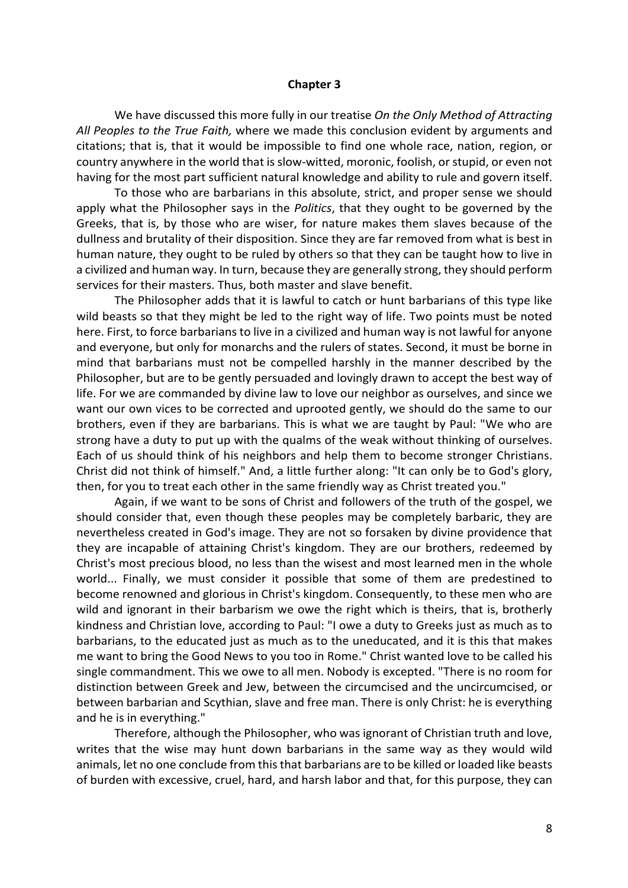#### **Chapter 3**

We have discussed this more fully in our treatise *On the Only Method of Attracting All Peoples to the True Faith,* where we made this conclusion evident by arguments and citations; that is, that it would be impossible to find one whole race, nation, region, or country anywhere in the world that is slow-witted, moronic, foolish, or stupid, or even not having for the most part sufficient natural knowledge and ability to rule and govern itself.

To those who are barbarians in this absolute, strict, and proper sense we should apply what the Philosopher says in the *Politics*, that they ought to be governed by the Greeks, that is, by those who are wiser, for nature makes them slaves because of the dullness and brutality of their disposition. Since they are far removed from what is best in human nature, they ought to be ruled by others so that they can be taught how to live in a civilized and human way. In turn, because they are generally strong, they should perform services for their masters. Thus, both master and slave benefit.

The Philosopher adds that it is lawful to catch or hunt barbarians of this type like wild beasts so that they might be led to the right way of life. Two points must be noted here. First, to force barbarians to live in a civilized and human way is not lawful for anyone and everyone, but only for monarchs and the rulers of states. Second, it must be borne in mind that barbarians must not be compelled harshly in the manner described by the Philosopher, but are to be gently persuaded and lovingly drawn to accept the best way of life. For we are commanded by divine law to love our neighbor as ourselves, and since we want our own vices to be corrected and uprooted gently, we should do the same to our brothers, even if they are barbarians. This is what we are taught by Paul: "We who are strong have a duty to put up with the qualms of the weak without thinking of ourselves. Each of us should think of his neighbors and help them to become stronger Christians. Christ did not think of himself." And, a little further along: "It can only be to God's glory, then, for you to treat each other in the same friendly way as Christ treated you."

Again, if we want to be sons of Christ and followers of the truth of the gospel, we should consider that, even though these peoples may be completely barbaric, they are nevertheless created in God's image. They are not so forsaken by divine providence that they are incapable of attaining Christ's kingdom. They are our brothers, redeemed by Christ's most precious blood, no less than the wisest and most learned men in the whole world... Finally, we must consider it possible that some of them are predestined to become renowned and glorious in Christ's kingdom. Consequently, to these men who are wild and ignorant in their barbarism we owe the right which is theirs, that is, brotherly kindness and Christian love, according to Paul: "I owe a duty to Greeks just as much as to barbarians, to the educated just as much as to the uneducated, and it is this that makes me want to bring the Good News to you too in Rome." Christ wanted love to be called his single commandment. This we owe to all men. Nobody is excepted. "There is no room for distinction between Greek and Jew, between the circumcised and the uncircumcised, or between barbarian and Scythian, slave and free man. There is only Christ: he is everything and he is in everything."

Therefore, although the Philosopher, who was ignorant of Christian truth and love, writes that the wise may hunt down barbarians in the same way as they would wild animals, let no one conclude from this that barbarians are to be killed or loaded like beasts of burden with excessive, cruel, hard, and harsh labor and that, for this purpose, they can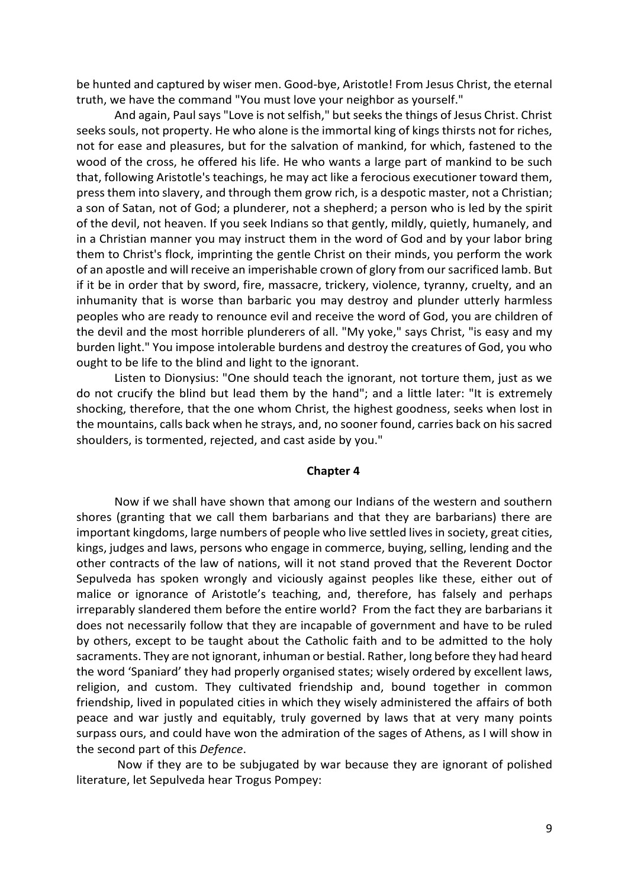be hunted and captured by wiser men. Good-bye, Aristotle! From Jesus Christ, the eternal truth, we have the command "You must love your neighbor as yourself."

And again, Paul says "Love is not selfish," but seeks the things of Jesus Christ. Christ seeks souls, not property. He who alone is the immortal king of kings thirsts not for riches, not for ease and pleasures, but for the salvation of mankind, for which, fastened to the wood of the cross, he offered his life. He who wants a large part of mankind to be such that, following Aristotle's teachings, he may act like a ferocious executioner toward them, press them into slavery, and through them grow rich, is a despotic master, not a Christian; a son of Satan, not of God; a plunderer, not a shepherd; a person who is led by the spirit of the devil, not heaven. If you seek Indians so that gently, mildly, quietly, humanely, and in a Christian manner you may instruct them in the word of God and by your labor bring them to Christ's flock, imprinting the gentle Christ on their minds, you perform the work of an apostle and will receive an imperishable crown of glory from our sacrificed lamb. But if it be in order that by sword, fire, massacre, trickery, violence, tyranny, cruelty, and an inhumanity that is worse than barbaric you may destroy and plunder utterly harmless peoples who are ready to renounce evil and receive the word of God, you are children of the devil and the most horrible plunderers of all. "My yoke," says Christ, "is easy and my burden light." You impose intolerable burdens and destroy the creatures of God, you who ought to be life to the blind and light to the ignorant.

Listen to Dionysius: "One should teach the ignorant, not torture them, just as we do not crucify the blind but lead them by the hand"; and a little later: "It is extremely shocking, therefore, that the one whom Christ, the highest goodness, seeks when lost in the mountains, calls back when he strays, and, no sooner found, carries back on his sacred shoulders, is tormented, rejected, and cast aside by you."

## **Chapter 4**

Now if we shall have shown that among our Indians of the western and southern shores (granting that we call them barbarians and that they are barbarians) there are important kingdoms, large numbers of people who live settled lives in society, great cities, kings, judges and laws, persons who engage in commerce, buying, selling, lending and the other contracts of the law of nations, will it not stand proved that the Reverent Doctor Sepulveda has spoken wrongly and viciously against peoples like these, either out of malice or ignorance of Aristotle's teaching, and, therefore, has falsely and perhaps irreparably slandered them before the entire world? From the fact they are barbarians it does not necessarily follow that they are incapable of government and have to be ruled by others, except to be taught about the Catholic faith and to be admitted to the holy sacraments. They are not ignorant, inhuman or bestial. Rather, long before they had heard the word 'Spaniard' they had properly organised states; wisely ordered by excellent laws, religion, and custom. They cultivated friendship and, bound together in common friendship, lived in populated cities in which they wisely administered the affairs of both peace and war justly and equitably, truly governed by laws that at very many points surpass ours, and could have won the admiration of the sages of Athens, as I will show in the second part of this *Defence*.

Now if they are to be subjugated by war because they are ignorant of polished literature, let Sepulveda hear Trogus Pompey: